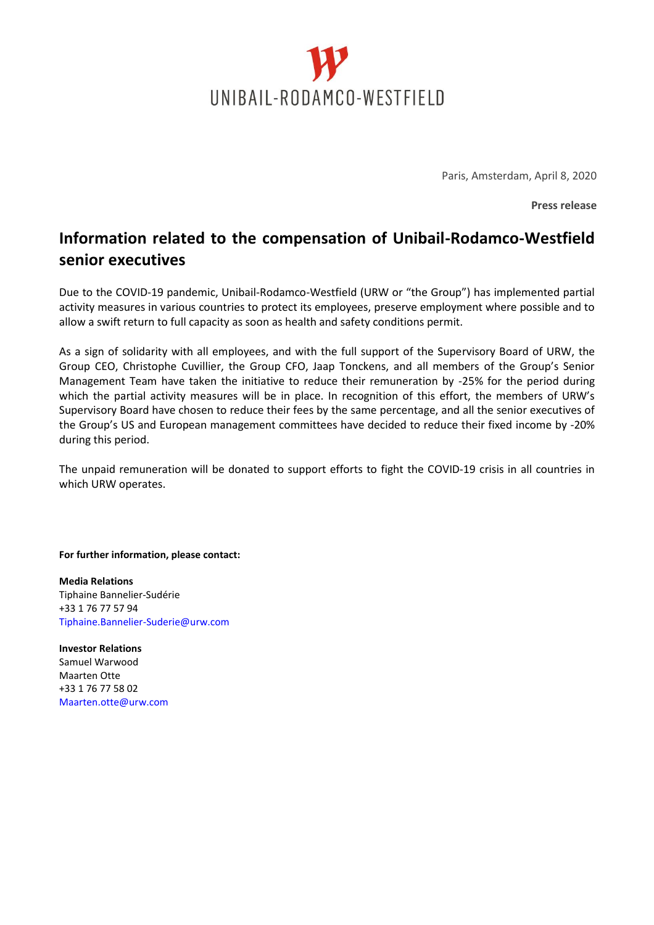

Paris, Amsterdam, April 8, 2020

**Press release**

## **Information related to the compensation of Unibail-Rodamco-Westfield senior executives**

Due to the COVID-19 pandemic, Unibail-Rodamco-Westfield (URW or "the Group") has implemented partial activity measures in various countries to protect its employees, preserve employment where possible and to allow a swift return to full capacity as soon as health and safety conditions permit.

As a sign of solidarity with all employees, and with the full support of the Supervisory Board of URW, the Group CEO, Christophe Cuvillier, the Group CFO, Jaap Tonckens, and all members of the Group's Senior Management Team have taken the initiative to reduce their remuneration by -25% for the period during which the partial activity measures will be in place. In recognition of this effort, the members of URW's Supervisory Board have chosen to reduce their fees by the same percentage, and all the senior executives of the Group's US and European management committees have decided to reduce their fixed income by -20% during this period.

The unpaid remuneration will be donated to support efforts to fight the COVID-19 crisis in all countries in which URW operates.

**For further information, please contact:** 

**Media Relations**  Tiphaine Bannelier-Sudérie +33 1 76 77 57 94 Tiphaine.Bannelier-Suderie@urw.com

**Investor Relations**  Samuel Warwood Maarten Otte +33 1 76 77 58 02 Maarten.otte@urw.com